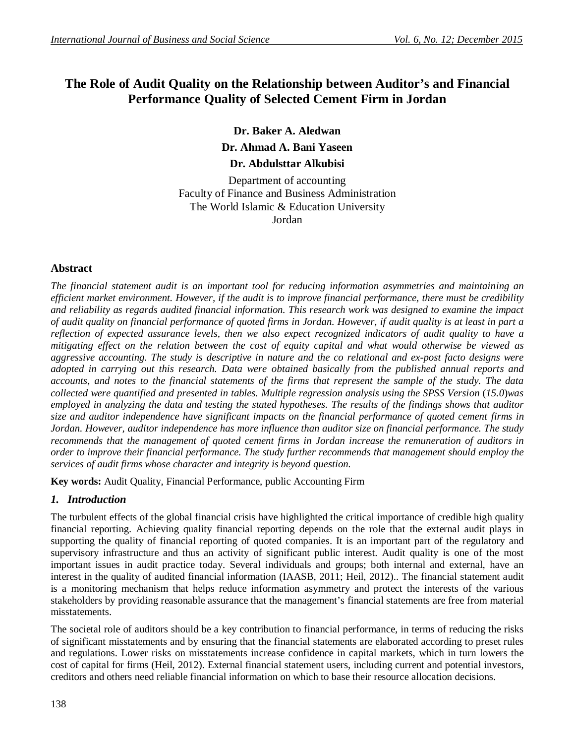# **The Role of Audit Quality on the Relationship between Auditor's and Financial Performance Quality of Selected Cement Firm in Jordan**

**Dr. Baker A. Aledwan Dr. Ahmad A. Bani Yaseen Dr. Abdulsttar Alkubisi**

Department of accounting Faculty of Finance and Business Administration The World Islamic & Education University Jordan

# **Abstract**

*The financial statement audit is an important tool for reducing information asymmetries and maintaining an efficient market environment. However, if the audit is to improve financial performance, there must be credibility and reliability as regards audited financial information. This research work was designed to examine the impact of audit quality on financial performance of quoted firms in Jordan. However, if audit quality is at least in part a reflection of expected assurance levels, then we also expect recognized indicators of audit quality to have a mitigating effect on the relation between the cost of equity capital and what would otherwise be viewed as aggressive accounting. The study is descriptive in nature and the co relational and ex-post facto designs were adopted in carrying out this research. Data were obtained basically from the published annual reports and accounts, and notes to the financial statements of the firms that represent the sample of the study. The data collected were quantified and presented in tables. Multiple regression analysis using the SPSS Version* (*15.0*)*was employed in analyzing the data and testing the stated hypotheses. The results of the findings shows that auditor size and auditor independence have significant impacts on the financial performance of quoted cement firms in Jordan. However, auditor independence has more influence than auditor size on financial performance. The study recommends that the management of quoted cement firms in Jordan increase the remuneration of auditors in order to improve their financial performance. The study further recommends that management should employ the services of audit firms whose character and integrity is beyond question.*

**Key words:** Audit Quality, Financial Performance, public Accounting Firm

## *1. Introduction*

The turbulent effects of the global financial crisis have highlighted the critical importance of credible high quality financial reporting. Achieving quality financial reporting depends on the role that the external audit plays in supporting the quality of financial reporting of quoted companies. It is an important part of the regulatory and supervisory infrastructure and thus an activity of significant public interest. Audit quality is one of the most important issues in audit practice today. Several individuals and groups; both internal and external, have an interest in the quality of audited financial information (IAASB, 2011; Heil, 2012).. The financial statement audit is a monitoring mechanism that helps reduce information asymmetry and protect the interests of the various stakeholders by providing reasonable assurance that the management's financial statements are free from material misstatements.

The societal role of auditors should be a key contribution to financial performance, in terms of reducing the risks of significant misstatements and by ensuring that the financial statements are elaborated according to preset rules and regulations. Lower risks on misstatements increase confidence in capital markets, which in turn lowers the cost of capital for firms (Heil, 2012). External financial statement users, including current and potential investors, creditors and others need reliable financial information on which to base their resource allocation decisions.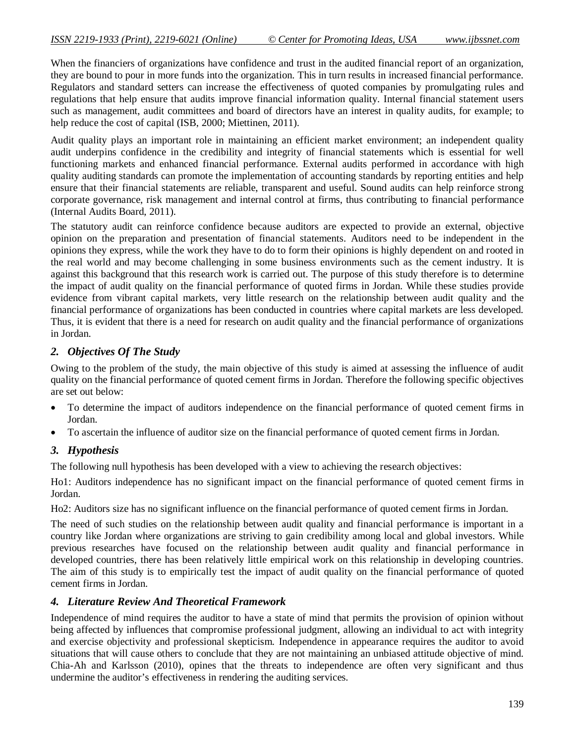When the financiers of organizations have confidence and trust in the audited financial report of an organization, they are bound to pour in more funds into the organization. This in turn results in increased financial performance. Regulators and standard setters can increase the effectiveness of quoted companies by promulgating rules and regulations that help ensure that audits improve financial information quality. Internal financial statement users such as management, audit committees and board of directors have an interest in quality audits, for example; to help reduce the cost of capital (ISB, 2000; Miettinen, 2011).

Audit quality plays an important role in maintaining an efficient market environment; an independent quality audit underpins confidence in the credibility and integrity of financial statements which is essential for well functioning markets and enhanced financial performance. External audits performed in accordance with high quality auditing standards can promote the implementation of accounting standards by reporting entities and help ensure that their financial statements are reliable, transparent and useful. Sound audits can help reinforce strong corporate governance, risk management and internal control at firms, thus contributing to financial performance (Internal Audits Board, 2011).

The statutory audit can reinforce confidence because auditors are expected to provide an external, objective opinion on the preparation and presentation of financial statements. Auditors need to be independent in the opinions they express, while the work they have to do to form their opinions is highly dependent on and rooted in the real world and may become challenging in some business environments such as the cement industry. It is against this background that this research work is carried out. The purpose of this study therefore is to determine the impact of audit quality on the financial performance of quoted firms in Jordan. While these studies provide evidence from vibrant capital markets, very little research on the relationship between audit quality and the financial performance of organizations has been conducted in countries where capital markets are less developed. Thus, it is evident that there is a need for research on audit quality and the financial performance of organizations in Jordan.

# *2. Objectives Of The Study*

Owing to the problem of the study, the main objective of this study is aimed at assessing the influence of audit quality on the financial performance of quoted cement firms in Jordan. Therefore the following specific objectives are set out below:

- To determine the impact of auditors independence on the financial performance of quoted cement firms in Jordan.
- To ascertain the influence of auditor size on the financial performance of quoted cement firms in Jordan.

# *3. Hypothesis*

The following null hypothesis has been developed with a view to achieving the research objectives:

Ho1: Auditors independence has no significant impact on the financial performance of quoted cement firms in Jordan.

Ho2: Auditors size has no significant influence on the financial performance of quoted cement firms in Jordan.

The need of such studies on the relationship between audit quality and financial performance is important in a country like Jordan where organizations are striving to gain credibility among local and global investors. While previous researches have focused on the relationship between audit quality and financial performance in developed countries, there has been relatively little empirical work on this relationship in developing countries. The aim of this study is to empirically test the impact of audit quality on the financial performance of quoted cement firms in Jordan.

## *4. Literature Review And Theoretical Framework*

Independence of mind requires the auditor to have a state of mind that permits the provision of opinion without being affected by influences that compromise professional judgment, allowing an individual to act with integrity and exercise objectivity and professional skepticism. Independence in appearance requires the auditor to avoid situations that will cause others to conclude that they are not maintaining an unbiased attitude objective of mind. Chia-Ah and Karlsson (2010), opines that the threats to independence are often very significant and thus undermine the auditor's effectiveness in rendering the auditing services.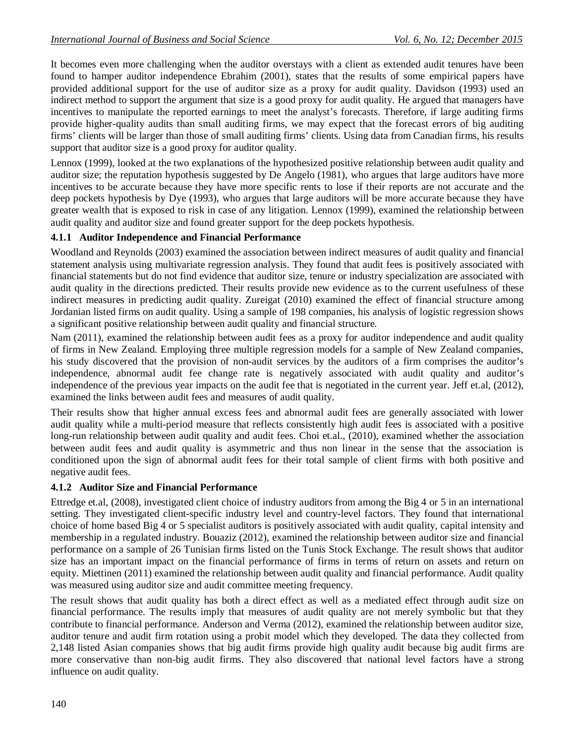It becomes even more challenging when the auditor overstays with a client as extended audit tenures have been found to hamper auditor independence Ebrahim (2001), states that the results of some empirical papers have provided additional support for the use of auditor size as a proxy for audit quality. Davidson (1993) used an indirect method to support the argument that size is a good proxy for audit quality. He argued that managers have incentives to manipulate the reported earnings to meet the analyst's forecasts. Therefore, if large auditing firms provide higher-quality audits than small auditing firms, we may expect that the forecast errors of big auditing firms' clients will be larger than those of small auditing firms' clients. Using data from Canadian firms, his results support that auditor size is a good proxy for auditor quality.

Lennox (1999), looked at the two explanations of the hypothesized positive relationship between audit quality and auditor size; the reputation hypothesis suggested by De Angelo (1981), who argues that large auditors have more incentives to be accurate because they have more specific rents to lose if their reports are not accurate and the deep pockets hypothesis by Dye (1993), who argues that large auditors will be more accurate because they have greater wealth that is exposed to risk in case of any litigation. Lennox (1999), examined the relationship between audit quality and auditor size and found greater support for the deep pockets hypothesis.

# **4.1.1 Auditor Independence and Financial Performance**

Woodland and Reynolds (2003) examined the association between indirect measures of audit quality and financial statement analysis using multivariate regression analysis. They found that audit fees is positively associated with financial statements but do not find evidence that auditor size, tenure or industry specialization are associated with audit quality in the directions predicted. Their results provide new evidence as to the current usefulness of these indirect measures in predicting audit quality. Zureigat (2010) examined the effect of financial structure among Jordanian listed firms on audit quality. Using a sample of 198 companies, his analysis of logistic regression shows a significant positive relationship between audit quality and financial structure.

Nam (2011), examined the relationship between audit fees as a proxy for auditor independence and audit quality of firms in New Zealand. Employing three multiple regression models for a sample of New Zealand companies, his study discovered that the provision of non-audit services by the auditors of a firm comprises the auditor's independence, abnormal audit fee change rate is negatively associated with audit quality and auditor's independence of the previous year impacts on the audit fee that is negotiated in the current year. Jeff et.al, (2012), examined the links between audit fees and measures of audit quality.

Their results show that higher annual excess fees and abnormal audit fees are generally associated with lower audit quality while a multi-period measure that reflects consistently high audit fees is associated with a positive long-run relationship between audit quality and audit fees. Choi et.al., (2010), examined whether the association between audit fees and audit quality is asymmetric and thus non linear in the sense that the association is conditioned upon the sign of abnormal audit fees for their total sample of client firms with both positive and negative audit fees.

## **4.1.2 Auditor Size and Financial Performance**

Ettredge et.al, (2008), investigated client choice of industry auditors from among the Big 4 or 5 in an international setting. They investigated client-specific industry level and country-level factors. They found that international choice of home based Big 4 or 5 specialist auditors is positively associated with audit quality, capital intensity and membership in a regulated industry. Bouaziz (2012), examined the relationship between auditor size and financial performance on a sample of 26 Tunisian firms listed on the Tunis Stock Exchange. The result shows that auditor size has an important impact on the financial performance of firms in terms of return on assets and return on equity. Miettinen (2011) examined the relationship between audit quality and financial performance. Audit quality was measured using auditor size and audit committee meeting frequency.

The result shows that audit quality has both a direct effect as well as a mediated effect through audit size on financial performance. The results imply that measures of audit quality are not merely symbolic but that they contribute to financial performance. Anderson and Verma (2012), examined the relationship between auditor size, auditor tenure and audit firm rotation using a probit model which they developed. The data they collected from 2,148 listed Asian companies shows that big audit firms provide high quality audit because big audit firms are more conservative than non-big audit firms. They also discovered that national level factors have a strong influence on audit quality.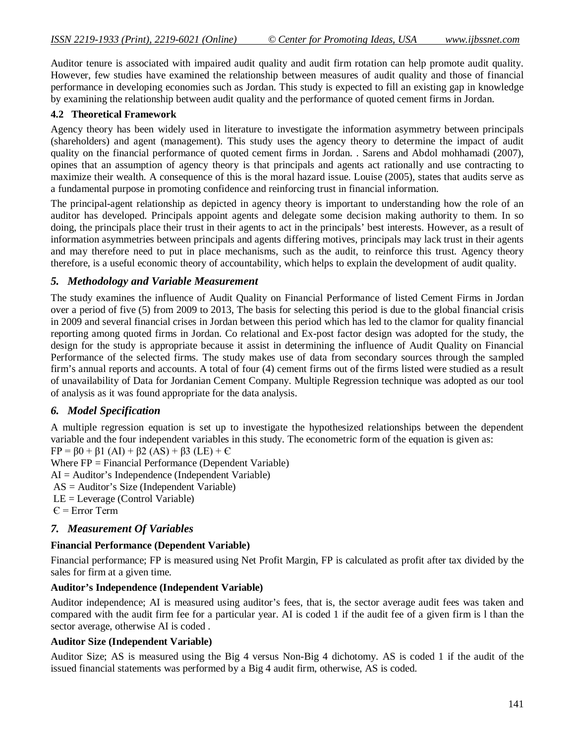Auditor tenure is associated with impaired audit quality and audit firm rotation can help promote audit quality. However, few studies have examined the relationship between measures of audit quality and those of financial performance in developing economies such as Jordan. This study is expected to fill an existing gap in knowledge by examining the relationship between audit quality and the performance of quoted cement firms in Jordan.

#### **4.2 Theoretical Framework**

Agency theory has been widely used in literature to investigate the information asymmetry between principals (shareholders) and agent (management). This study uses the agency theory to determine the impact of audit quality on the financial performance of quoted cement firms in Jordan. . Sarens and Abdol mohhamadi (2007), opines that an assumption of agency theory is that principals and agents act rationally and use contracting to maximize their wealth. A consequence of this is the moral hazard issue. Louise (2005), states that audits serve as a fundamental purpose in promoting confidence and reinforcing trust in financial information.

The principal-agent relationship as depicted in agency theory is important to understanding how the role of an auditor has developed. Principals appoint agents and delegate some decision making authority to them. In so doing, the principals place their trust in their agents to act in the principals' best interests. However, as a result of information asymmetries between principals and agents differing motives, principals may lack trust in their agents and may therefore need to put in place mechanisms, such as the audit, to reinforce this trust. Agency theory therefore, is a useful economic theory of accountability, which helps to explain the development of audit quality.

## *5. Methodology and Variable Measurement*

The study examines the influence of Audit Quality on Financial Performance of listed Cement Firms in Jordan over a period of five (5) from 2009 to 2013, The basis for selecting this period is due to the global financial crisis in 2009 and several financial crises in Jordan between this period which has led to the clamor for quality financial reporting among quoted firms in Jordan. Co relational and Ex-post factor design was adopted for the study, the design for the study is appropriate because it assist in determining the influence of Audit Quality on Financial Performance of the selected firms. The study makes use of data from secondary sources through the sampled firm's annual reports and accounts. A total of four (4) cement firms out of the firms listed were studied as a result of unavailability of Data for Jordanian Cement Company. Multiple Regression technique was adopted as our tool of analysis as it was found appropriate for the data analysis.

## *6. Model Specification*

A multiple regression equation is set up to investigate the hypothesized relationships between the dependent variable and the four independent variables in this study. The econometric form of the equation is given as:  $FP = \beta 0 + \beta 1 (AI) + \beta 2 (AS) + \beta 3 (LE) + C$ 

Where FP = Financial Performance (Dependent Variable)

AI = Auditor's Independence (Independent Variable)

AS = Auditor's Size (Independent Variable)

LE = Leverage (Control Variable)

 $E = Error Term$ 

## *7. Measurement Of Variables*

#### **Financial Performance (Dependent Variable)**

Financial performance; FP is measured using Net Profit Margin, FP is calculated as profit after tax divided by the sales for firm at a given time.

#### **Auditor's Independence (Independent Variable)**

Auditor independence; AI is measured using auditor's fees, that is, the sector average audit fees was taken and compared with the audit firm fee for a particular year. AI is coded 1 if the audit fee of a given firm is l than the sector average, otherwise AI is coded .

#### **Auditor Size (Independent Variable)**

Auditor Size; AS is measured using the Big 4 versus Non-Big 4 dichotomy. AS is coded 1 if the audit of the issued financial statements was performed by a Big 4 audit firm, otherwise, AS is coded.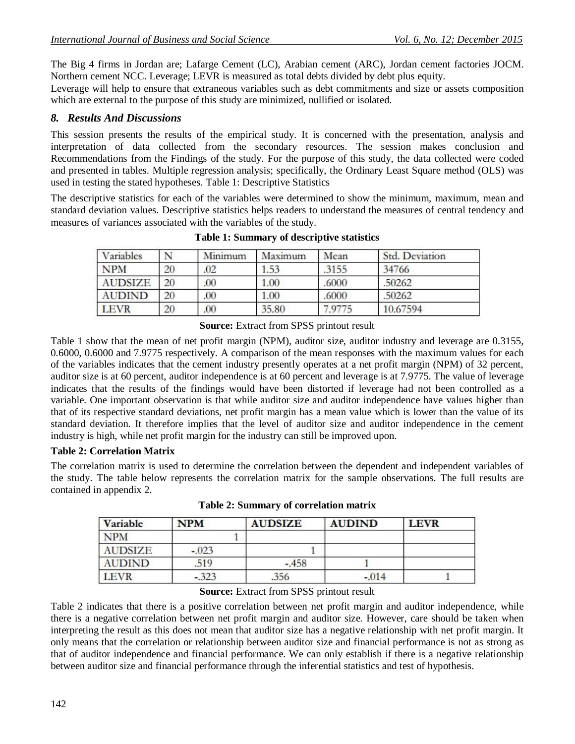The Big 4 firms in Jordan are; Lafarge Cement (LC), Arabian cement (ARC), Jordan cement factories JOCM. Northern cement NCC. Leverage; LEVR is measured as total debts divided by debt plus equity.

Leverage will help to ensure that extraneous variables such as debt commitments and size or assets composition which are external to the purpose of this study are minimized, nullified or isolated.

### *8. Results And Discussions*

This session presents the results of the empirical study. It is concerned with the presentation, analysis and interpretation of data collected from the secondary resources. The session makes conclusion and Recommendations from the Findings of the study. For the purpose of this study, the data collected were coded and presented in tables. Multiple regression analysis; specifically, the Ordinary Least Square method (OLS) was used in testing the stated hypotheses. Table 1: Descriptive Statistics

The descriptive statistics for each of the variables were determined to show the minimum, maximum, mean and standard deviation values. Descriptive statistics helps readers to understand the measures of central tendency and measures of variances associated with the variables of the study.

| Variables      |    | Minimum | Maximum | Mean   | Std. Deviation |
|----------------|----|---------|---------|--------|----------------|
| <b>NPM</b>     | 20 | .02     | 1.53    | .3155  | 34766          |
| <b>AUDSIZE</b> | 20 | .00     | 1.00    | .6000  | .50262         |
| <b>AUDIND</b>  | 20 | .00     | 1.00    | .6000  | .50262         |
| <b>LEVR</b>    | 20 | .00.    | 35.80   | 7.9775 | 10.67594       |

**Table 1: Summary of descriptive statistics**

**Source:** Extract from SPSS printout result

Table 1 show that the mean of net profit margin (NPM), auditor size, auditor industry and leverage are 0.3155, 0.6000, 0.6000 and 7.9775 respectively. A comparison of the mean responses with the maximum values for each of the variables indicates that the cement industry presently operates at a net profit margin (NPM) of 32 percent, auditor size is at 60 percent, auditor independence is at 60 percent and leverage is at 7.9775. The value of leverage indicates that the results of the findings would have been distorted if leverage had not been controlled as a variable. One important observation is that while auditor size and auditor independence have values higher than that of its respective standard deviations, net profit margin has a mean value which is lower than the value of its standard deviation. It therefore implies that the level of auditor size and auditor independence in the cement industry is high, while net profit margin for the industry can still be improved upon.

#### **Table 2: Correlation Matrix**

The correlation matrix is used to determine the correlation between the dependent and independent variables of the study. The table below represents the correlation matrix for the sample observations. The full results are contained in appendix 2.

| Variable       | <b>NPM</b> | <b>AUDSIZE</b> | <b>AUDIND</b> | <b>LEVR</b> |
|----------------|------------|----------------|---------------|-------------|
| <b>NPM</b>     |            |                |               |             |
| <b>AUDSIZE</b> | $-.023$    |                |               |             |
| <b>AUDIND</b>  | .519       | $-.458$        |               |             |
| <b>LEVR</b>    | $-323$     | .356           | $-0.014$      |             |

**Table 2: Summary of correlation matrix**

#### **Source:** Extract from SPSS printout result

Table 2 indicates that there is a positive correlation between net profit margin and auditor independence, while there is a negative correlation between net profit margin and auditor size. However, care should be taken when interpreting the result as this does not mean that auditor size has a negative relationship with net profit margin. It only means that the correlation or relationship between auditor size and financial performance is not as strong as that of auditor independence and financial performance. We can only establish if there is a negative relationship between auditor size and financial performance through the inferential statistics and test of hypothesis.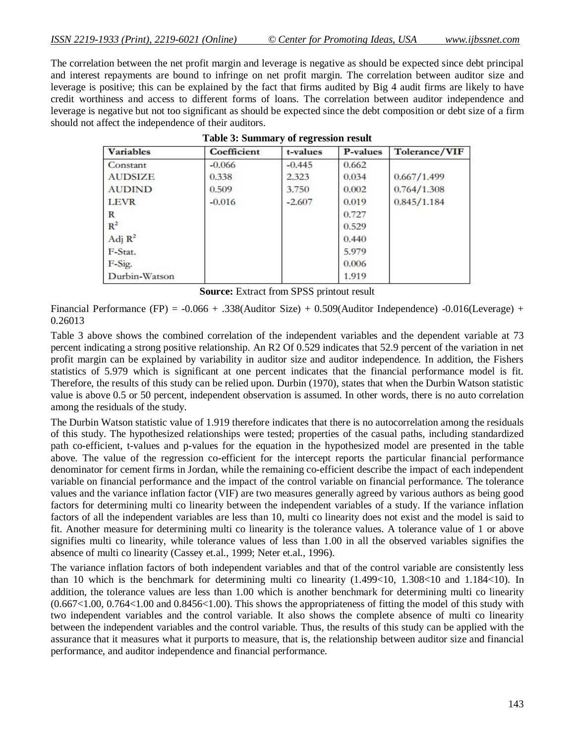The correlation between the net profit margin and leverage is negative as should be expected since debt principal and interest repayments are bound to infringe on net profit margin. The correlation between auditor size and leverage is positive; this can be explained by the fact that firms audited by Big 4 audit firms are likely to have credit worthiness and access to different forms of loans. The correlation between auditor independence and leverage is negative but not too significant as should be expected since the debt composition or debt size of a firm should not affect the independence of their auditors.

| <b>Variables</b> | Coefficient | t-values | <b>P-values</b> | Tolerance/VIF |
|------------------|-------------|----------|-----------------|---------------|
| Constant         | $-0.066$    | $-0.445$ | 0.662           |               |
| <b>AUDSIZE</b>   | 0.338       | 2.323    | 0.034           | 0.667/1.499   |
| <b>AUDIND</b>    | 0.509       | 3.750    | 0.002           | 0.764/1.308   |
| <b>LEVR</b>      | $-0.016$    | $-2.607$ | 0.019           | 0.845/1.184   |
| R                |             |          | 0.727           |               |
| $R^2$            |             |          | 0.529           |               |
| Adj $R^2$        |             |          | 0.440           |               |
| F-Stat.          |             |          | 5.979           |               |
| F-Sig.           |             |          | 0.006           |               |
| Durbin-Watson    |             |          | 1.919           |               |

|  |  | <b>Table 3: Summary of regression result</b> |  |
|--|--|----------------------------------------------|--|
|--|--|----------------------------------------------|--|

**Source:** Extract from SPSS printout result

Financial Performance (FP) =  $-0.066 + .338$ (Auditor Size) + 0.509(Auditor Independence)  $-0.016$ (Leverage) + 0.26013

Table 3 above shows the combined correlation of the independent variables and the dependent variable at 73 percent indicating a strong positive relationship. An R2 Of 0.529 indicates that 52.9 percent of the variation in net profit margin can be explained by variability in auditor size and auditor independence. In addition, the Fishers statistics of 5.979 which is significant at one percent indicates that the financial performance model is fit. Therefore, the results of this study can be relied upon. Durbin (1970), states that when the Durbin Watson statistic value is above 0.5 or 50 percent, independent observation is assumed. In other words, there is no auto correlation among the residuals of the study.

The Durbin Watson statistic value of 1.919 therefore indicates that there is no autocorrelation among the residuals of this study. The hypothesized relationships were tested; properties of the casual paths, including standardized path co-efficient, t-values and p-values for the equation in the hypothesized model are presented in the table above. The value of the regression co-efficient for the intercept reports the particular financial performance denominator for cement firms in Jordan, while the remaining co-efficient describe the impact of each independent variable on financial performance and the impact of the control variable on financial performance. The tolerance values and the variance inflation factor (VIF) are two measures generally agreed by various authors as being good factors for determining multi co linearity between the independent variables of a study. If the variance inflation factors of all the independent variables are less than 10, multi co linearity does not exist and the model is said to fit. Another measure for determining multi co linearity is the tolerance values. A tolerance value of 1 or above signifies multi co linearity, while tolerance values of less than 1.00 in all the observed variables signifies the absence of multi co linearity (Cassey et.al., 1999; Neter et.al., 1996).

The variance inflation factors of both independent variables and that of the control variable are consistently less than 10 which is the benchmark for determining multi co linearity (1.499<10, 1.308<10 and 1.184<10). In addition, the tolerance values are less than 1.00 which is another benchmark for determining multi co linearity  $(0.667<1.00, 0.764<1.00$  and  $0.8456<1.00$ . This shows the appropriateness of fitting the model of this study with two independent variables and the control variable. It also shows the complete absence of multi co linearity between the independent variables and the control variable. Thus, the results of this study can be applied with the assurance that it measures what it purports to measure, that is, the relationship between auditor size and financial performance, and auditor independence and financial performance.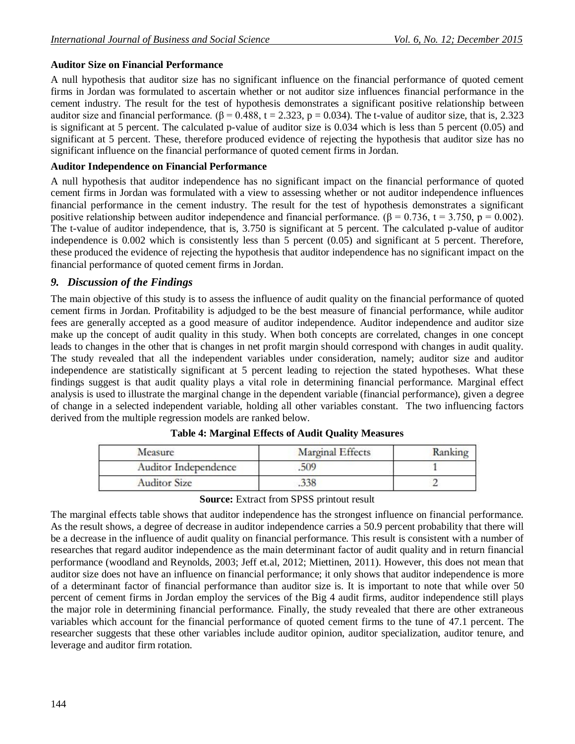# **Auditor Size on Financial Performance**

A null hypothesis that auditor size has no significant influence on the financial performance of quoted cement firms in Jordan was formulated to ascertain whether or not auditor size influences financial performance in the cement industry. The result for the test of hypothesis demonstrates a significant positive relationship between auditor size and financial performance.  $(\beta = 0.488, t = 2.323, p = 0.034)$ . The t-value of auditor size, that is, 2.323 is significant at 5 percent. The calculated p-value of auditor size is 0.034 which is less than 5 percent (0.05) and significant at 5 percent. These, therefore produced evidence of rejecting the hypothesis that auditor size has no significant influence on the financial performance of quoted cement firms in Jordan.

# **Auditor Independence on Financial Performance**

A null hypothesis that auditor independence has no significant impact on the financial performance of quoted cement firms in Jordan was formulated with a view to assessing whether or not auditor independence influences financial performance in the cement industry. The result for the test of hypothesis demonstrates a significant positive relationship between auditor independence and financial performance. ( $\beta = 0.736$ ,  $t = 3.750$ ,  $p = 0.002$ ). The t-value of auditor independence, that is, 3.750 is significant at 5 percent. The calculated p-value of auditor independence is 0.002 which is consistently less than 5 percent (0.05) and significant at 5 percent. Therefore, these produced the evidence of rejecting the hypothesis that auditor independence has no significant impact on the financial performance of quoted cement firms in Jordan.

# *9. Discussion of the Findings*

The main objective of this study is to assess the influence of audit quality on the financial performance of quoted cement firms in Jordan. Profitability is adjudged to be the best measure of financial performance, while auditor fees are generally accepted as a good measure of auditor independence. Auditor independence and auditor size make up the concept of audit quality in this study. When both concepts are correlated, changes in one concept leads to changes in the other that is changes in net profit margin should correspond with changes in audit quality. The study revealed that all the independent variables under consideration, namely; auditor size and auditor independence are statistically significant at 5 percent leading to rejection the stated hypotheses. What these findings suggest is that audit quality plays a vital role in determining financial performance. Marginal effect analysis is used to illustrate the marginal change in the dependent variable (financial performance), given a degree of change in a selected independent variable, holding all other variables constant. The two influencing factors derived from the multiple regression models are ranked below.

| Measure                     | <b>Marginal Effects</b> | Ranking |
|-----------------------------|-------------------------|---------|
| <b>Auditor Independence</b> | .509                    |         |
| <b>Auditor Size</b>         | 338                     |         |

**Table 4: Marginal Effects of Audit Quality Measures**

# **Source:** Extract from SPSS printout result

The marginal effects table shows that auditor independence has the strongest influence on financial performance. As the result shows, a degree of decrease in auditor independence carries a 50.9 percent probability that there will be a decrease in the influence of audit quality on financial performance. This result is consistent with a number of researches that regard auditor independence as the main determinant factor of audit quality and in return financial performance (woodland and Reynolds, 2003; Jeff et.al, 2012; Miettinen, 2011). However, this does not mean that auditor size does not have an influence on financial performance; it only shows that auditor independence is more of a determinant factor of financial performance than auditor size is. It is important to note that while over 50 percent of cement firms in Jordan employ the services of the Big 4 audit firms, auditor independence still plays the major role in determining financial performance. Finally, the study revealed that there are other extraneous variables which account for the financial performance of quoted cement firms to the tune of 47.1 percent. The researcher suggests that these other variables include auditor opinion, auditor specialization, auditor tenure, and leverage and auditor firm rotation.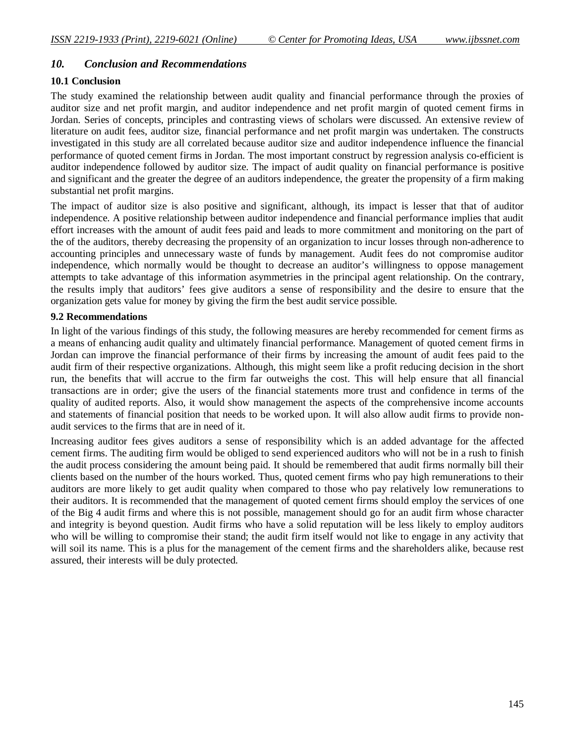#### *10. Conclusion and Recommendations*

#### **10.1 Conclusion**

The study examined the relationship between audit quality and financial performance through the proxies of auditor size and net profit margin, and auditor independence and net profit margin of quoted cement firms in Jordan. Series of concepts, principles and contrasting views of scholars were discussed. An extensive review of literature on audit fees, auditor size, financial performance and net profit margin was undertaken. The constructs investigated in this study are all correlated because auditor size and auditor independence influence the financial performance of quoted cement firms in Jordan. The most important construct by regression analysis co-efficient is auditor independence followed by auditor size. The impact of audit quality on financial performance is positive and significant and the greater the degree of an auditors independence, the greater the propensity of a firm making substantial net profit margins.

The impact of auditor size is also positive and significant, although, its impact is lesser that that of auditor independence. A positive relationship between auditor independence and financial performance implies that audit effort increases with the amount of audit fees paid and leads to more commitment and monitoring on the part of the of the auditors, thereby decreasing the propensity of an organization to incur losses through non-adherence to accounting principles and unnecessary waste of funds by management. Audit fees do not compromise auditor independence, which normally would be thought to decrease an auditor's willingness to oppose management attempts to take advantage of this information asymmetries in the principal agent relationship. On the contrary, the results imply that auditors' fees give auditors a sense of responsibility and the desire to ensure that the organization gets value for money by giving the firm the best audit service possible.

#### **9.2 Recommendations**

In light of the various findings of this study, the following measures are hereby recommended for cement firms as a means of enhancing audit quality and ultimately financial performance. Management of quoted cement firms in Jordan can improve the financial performance of their firms by increasing the amount of audit fees paid to the audit firm of their respective organizations. Although, this might seem like a profit reducing decision in the short run, the benefits that will accrue to the firm far outweighs the cost. This will help ensure that all financial transactions are in order; give the users of the financial statements more trust and confidence in terms of the quality of audited reports. Also, it would show management the aspects of the comprehensive income accounts and statements of financial position that needs to be worked upon. It will also allow audit firms to provide nonaudit services to the firms that are in need of it.

Increasing auditor fees gives auditors a sense of responsibility which is an added advantage for the affected cement firms. The auditing firm would be obliged to send experienced auditors who will not be in a rush to finish the audit process considering the amount being paid. It should be remembered that audit firms normally bill their clients based on the number of the hours worked. Thus, quoted cement firms who pay high remunerations to their auditors are more likely to get audit quality when compared to those who pay relatively low remunerations to their auditors. It is recommended that the management of quoted cement firms should employ the services of one of the Big 4 audit firms and where this is not possible, management should go for an audit firm whose character and integrity is beyond question. Audit firms who have a solid reputation will be less likely to employ auditors who will be willing to compromise their stand; the audit firm itself would not like to engage in any activity that will soil its name. This is a plus for the management of the cement firms and the shareholders alike, because rest assured, their interests will be duly protected.